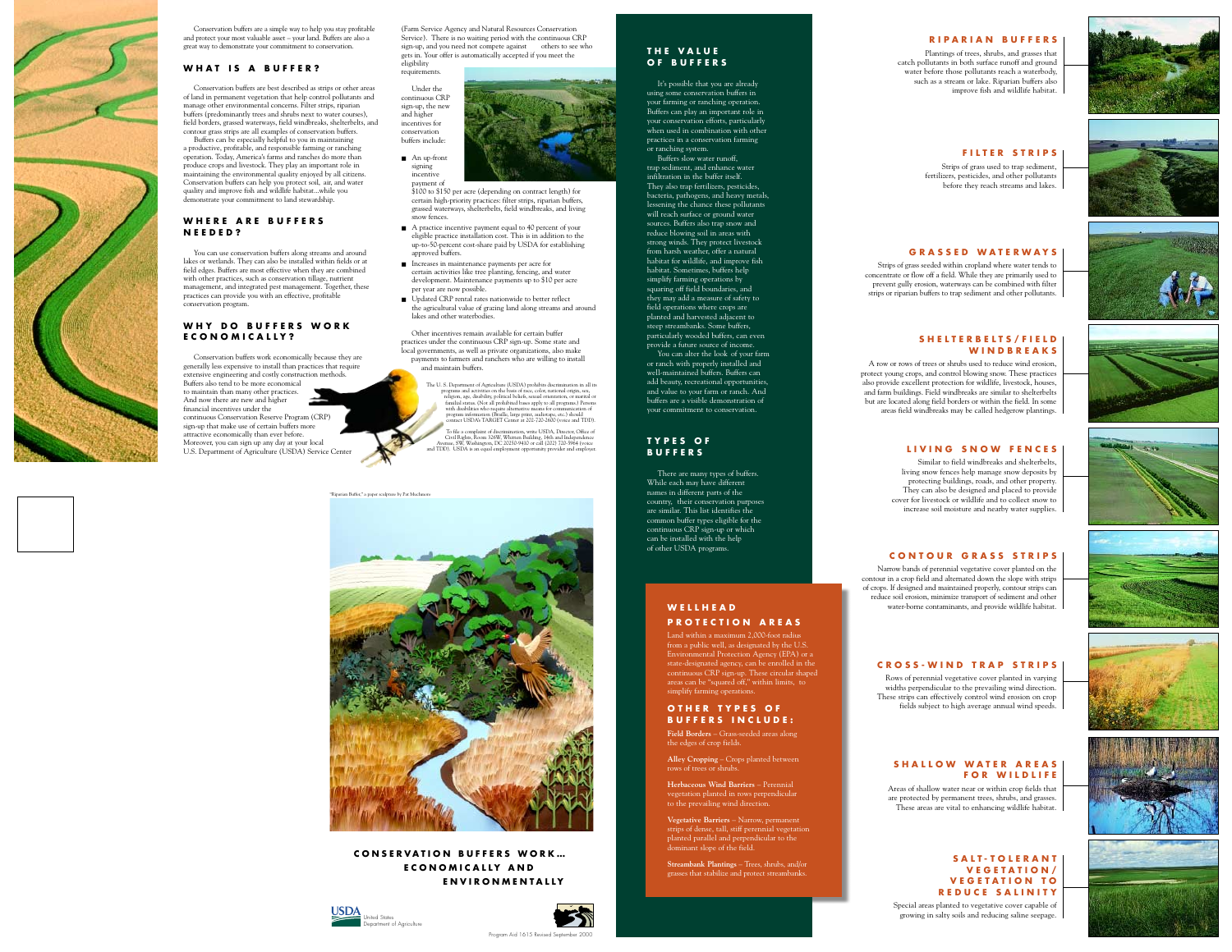The U. S. Department of Agriculture (USDA) prohibits discrimination in all its programs and activities on the basis of race, color, national origin, sex, religion, age, disability, political beliefs, sexual orientation, or marital or familial status. (Not all prohibited bases apply to all programs.) Persons with disabilities who require alternative means for communication of program information (Braille, large print, audiotape, etc.) should contact USDA's TARGET Center at 202-720-2600 (voice and TDD).

To file a complaint of discrimination, write USDA, Director, Office of Civil Rights, Room 326W, Whitten Building, 14th and Independence Avenue, SW, Washington, DC 20250-9410 or call (202) 720-5964 (voice and TDD). USDA is an equal employment opportunity provider and employer.

## **THE VALUE OF BUFFERS**

It's possible that you are already using some conservation buffers in your farming or ranching operation. Buffers can play an important role in your conservation efforts, particularly when used in combination with other practices in a conservation farming

or ranching system. Buffers slow water runoff,

trap sediment, and enhance water infiltration in the buffer itself. They also trap fertilizers, pesticides, bacteria, pathogens, and heavy metals, lessening the chance these pollutants will reach surface or ground water sources. Buffers also trap snow and reduce blowing soil in areas with strong winds. They protect livestock from harsh weather, offer a natural habitat for wildlife, and improve fish habitat. Sometimes, buffers help simplify farming operations by squaring off field boundaries, and they may add a measure of safety to field operations where crops are planted and harvested adjacent to steep streambanks. Some buffers, particularly wooded buffers, can even provide a future source of income. You can alter the look of your farm or ranch with properly installed and well-maintained buffers. Buffers can add beauty, recreational opportunities, and value to your farm or ranch. And buffers are a visible demonstration of your commitment to conservation.

## **TYPES OF BUFFERS**

There are many types of buffers. country, their conservation purposes are similar. This list identifies the common buffer types eligible for the continuous CRP sign-up or which

While each may have different names in different parts of the can be installed with the help of other USDA programs.

#### **RIPARIAN BUFFERS**

Plantings of trees, shrubs, and grasses that catch pollutants in both surface runoff and ground water before those pollutants reach a waterbody, such as a stream or lake. Riparian buffers also improve fish and wildlife habitat.

#### **FILTER STRIPS**

Strips of grass used to trap sediment, fertilizers, pesticides, and other pollutants before they reach streams and lakes.

#### **GRASS ED WAT ERWAYS**

Strips of grass seeded within cropland where water tends to concentrate or flow off a field. While they are primarily used to prevent gully erosion, waterways can be combined with filter strips or riparian buffers to trap sediment and other pollutants.

#### **SALT-TOLERANT VEGETATION/ VEGETATION TO REDUCE SALINITY**

Special areas planted to vegetative cover capable of growing in salty soils and reducing saline seepage.

#### **SHELTERBELTS/FIELD WINDBREAKS**

A row or rows of trees or shrubs used to reduce wind erosion, protect young crops, and control blowing snow. These practices also provide excellent protection for wildlife, livestock, houses, and farm buildings. Field windbreaks are similar to shelterbelts but are located along field borders or within the field. In some areas field windbreaks may be called hedgerow plantings.

## **SHALLOW WATER AREAS FOR WILDLIFE**

Areas of shallow water near or within crop fields that are protected by permanent trees, shrubs, and grasses. These areas are vital to enhancing wildlife habitat.

#### **LIVING SNOW FENCES**

■ An up-front signing incentive payment of



Similar to field windbreaks and shelterbelts, living snow fences help manage snow deposits by protecting buildings, roads, and other property. They can also be designed and placed to provide cover for livestock or wildlife and to collect snow to increase soil moisture and nearby water supplies.

#### **CONTOUR GRASS STRIPS**

Narrow bands of perennial vegetative cover planted on the contour in a crop field and alternated down the slope with strips of crops. If designed and maintained properly, contour strips can reduce soil erosion, minimize transport of sediment and other water-borne contaminants, and provide wildlife habitat.

- A practice incentive payment equal to 40 percent of your eligible practice installation cost. This is in addition to the up-to-50-percent cost-share paid by USDA for establishing approved buffers.
- Increases in maintenance payments per acre for certain activities like tree planting, fencing, and water development. Maintenance payments up to \$10 per acre per year are now possible.
- Updated CRP rental rates nationwide to better reflect the agricultural value of grazing land along streams and around lakes and other waterbodies.

#### **CROSS-WIND TRAP STRIPS**

Rows of perennial vegetative cover planted in varying widths perpendicular to the prevailing wind direction. These strips can effectively control wind erosion on crop fields subject to high average annual wind speeds.

## **WELLHEAD PROTECTION AREAS**

Land within a maximum 2,000-foot radius from a public well, as designated by the U.S. Environmental Protection Agency (EPA) or a state-designated agency, can be enrolled in the continuous CRP sign-up. These circular shaped areas can be "squared off," within limits, to simplify farming operations.

#### **OTHER TYPES OF BUFFERS INCLUDE:**

**Field Borders** – Grass-seeded areas along the edges of crop fields.

**Alley Cropping** – Crops planted between rows of trees or shrubs.

**Herbaceous Wind Barriers** – Perennial vegetation planted in rows perpendicular to the prevailing wind direction.

















**Vegetative Barriers** – Narrow, permanent strips of dense, tall, stiff perennial vegetation planted parallel and perpendicular to the dominant slope of the field.

**Streambank Plantings** – Trees, shrubs, and/or grasses that stabilize and protect streambanks.



Conservation buffers are a simple way to help you stay profitable and protect your most valuable asset – your land. Buffers are also a great way to demonstrate your commitment to conservation.

## **WHAT IS A BUFFER?**

Conservation buffers are best described as strips or other areas of land in permanent vegetation that help control pollutants and manage other environmental concerns. Filter strips, riparian buffers (predominantly trees and shrubs next to water courses), field borders, grassed waterways, field windbreaks, shelterbelts, and contour grass strips are all examples of conservation buffers.

Buffers can be especially helpful to you in maintaining a productive, profitable, and responsible farming or ranching operation. Today, America's farms and ranches do more than produce crops and livestock. They play an important role in maintaining the environmental quality enjoyed by all citizens. Conservation buffers can help you protect soil, air, and water quality and improve fish and wildlife habitat...while you demonstrate your commitment to land stewardship.

#### **WHERE ARE BUFFERS NEEDED?**

You can use conservation buffers along streams and around lakes or wetlands. They can also be installed within fields or at field edges. Buffers are most effective when they are combined with other practices, such as conservation tillage, nutrient management, and integrated pest management. Together, these practices can provide you with an effective, profitable conservation program.

#### **WHY DO BUFFERS WORK ECONOM ICALLY?**

Conservation buffers work economically because they are generally less expensive to install than practices that require extensive engineering and costly construction methods. Buffers also tend to be more economical to maintain than many other practices. And now there are new and higher financial incentives under the continuous Conservation Reserve Program (CRP) sign-up that make use of certain buffers more attractive economically than ever before. Moreover, you can sign up any day at your local U.S. Department of Agriculture (USDA) Service Center

(Farm Service Agency and Natural Resources Conservation Service). There is no waiting period with the continuous CRP sign-up, and you need not compete against others to see who gets in. Your offer is automatically accepted if you meet the eligibility requirements.

Under the continuous CRP sign-up, the new and higher incentives for conservation buffers include:

> \$100 to \$150 per acre (depending on contract length) for certain high-priority practices: filter strips, riparian buffers, grassed waterways, shelterbelts, field windbreaks, and living snow fences.

Other incentives remain available for certain buffer practices under the continuous CRP sign-up. Some state and local governments, as well as private organizations, also make payments to farmers and ranchers who are willing to install and maintain buffers.





## **CONSERVATION BUFFERS WORK... ECONOM ICALLY AND ENVIRONMENTALLY**